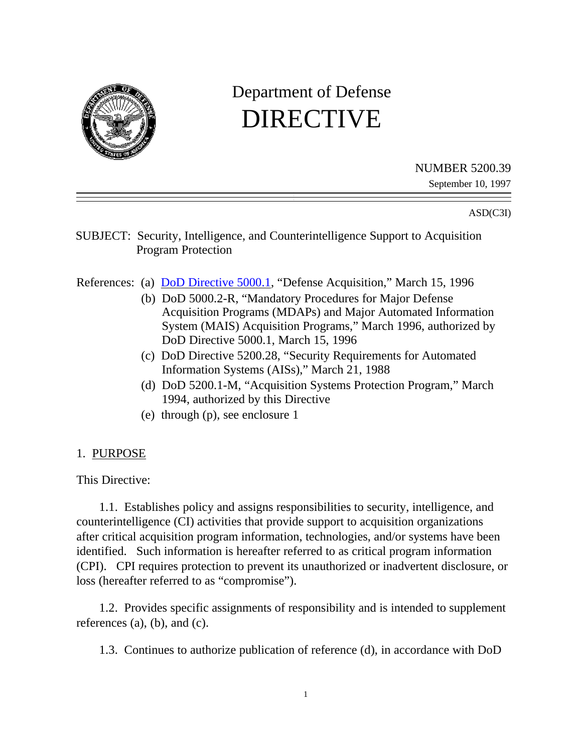

# Department of Defense DIRECTIVE

NUMBER 5200.39

September 10, 1997

#### ASD(C3I)

SUBJECT: Security, Intelligence, and Counterintelligence Support to Acquisition Program Protection

- References: (a) **DoD Directive 5000.1**, "Defense Acquisition," March 15, 1996
	- (b) DoD 5000.2-R, "Mandatory Procedures for Major Defense Acquisition Programs (MDAPs) and Major Automated Information System (MAIS) Acquisition Programs," March 1996, authorized by DoD Directive 5000.1, March 15, 1996
	- (c) DoD Directive 5200.28, "Security Requirements for Automated Information Systems (AISs)," March 21, 1988
	- (d) DoD 5200.1-M, "Acquisition Systems Protection Program," March 1994, authorized by this Directive
	- (e) through (p), see enclosure 1

#### 1. PURPOSE

This Directive:

1.1. Establishes policy and assigns responsibilities to security, intelligence, and counterintelligence (CI) activities that provide support to acquisition organizations after critical acquisition program information, technologies, and/or systems have been identified. Such information is hereafter referred to as critical program information (CPI). CPI requires protection to prevent its unauthorized or inadvertent disclosure, or loss (hereafter referred to as "compromise").

1.2. Provides specific assignments of responsibility and is intended to supplement references (a), (b), and (c).

1.3. Continues to authorize publication of reference (d), in accordance with DoD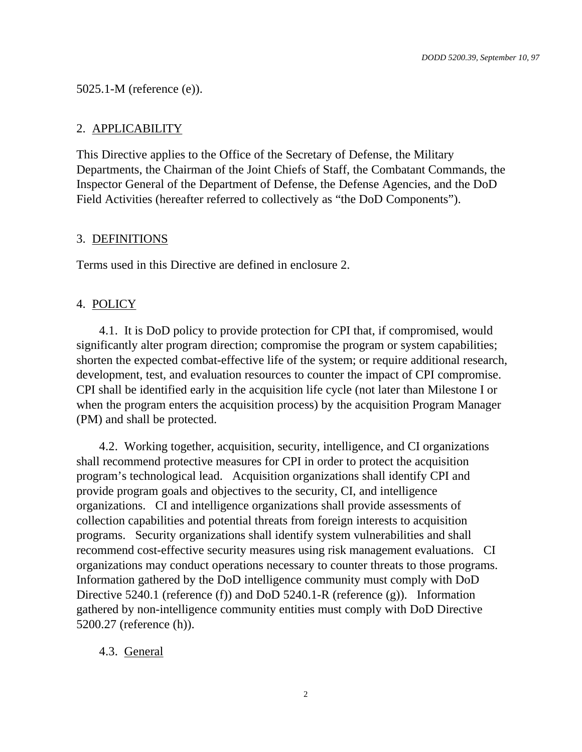#### 5025.1-M (reference (e)).

#### 2. APPLICABILITY

This Directive applies to the Office of the Secretary of Defense, the Military Departments, the Chairman of the Joint Chiefs of Staff, the Combatant Commands, the Inspector General of the Department of Defense, the Defense Agencies, and the DoD Field Activities (hereafter referred to collectively as "the DoD Components").

#### 3. DEFINITIONS

Terms used in this Directive are defined in enclosure 2.

#### 4. POLICY

4.1. It is DoD policy to provide protection for CPI that, if compromised, would significantly alter program direction; compromise the program or system capabilities; shorten the expected combat-effective life of the system; or require additional research, development, test, and evaluation resources to counter the impact of CPI compromise. CPI shall be identified early in the acquisition life cycle (not later than Milestone I or when the program enters the acquisition process) by the acquisition Program Manager (PM) and shall be protected.

4.2. Working together, acquisition, security, intelligence, and CI organizations shall recommend protective measures for CPI in order to protect the acquisition program's technological lead. Acquisition organizations shall identify CPI and provide program goals and objectives to the security, CI, and intelligence organizations. CI and intelligence organizations shall provide assessments of collection capabilities and potential threats from foreign interests to acquisition programs. Security organizations shall identify system vulnerabilities and shall recommend cost-effective security measures using risk management evaluations. CI organizations may conduct operations necessary to counter threats to those programs. Information gathered by the DoD intelligence community must comply with DoD Directive 5240.1 (reference (f)) and DoD 5240.1-R (reference (g)). Information gathered by non-intelligence community entities must comply with DoD Directive 5200.27 (reference (h)).

#### 4.3. General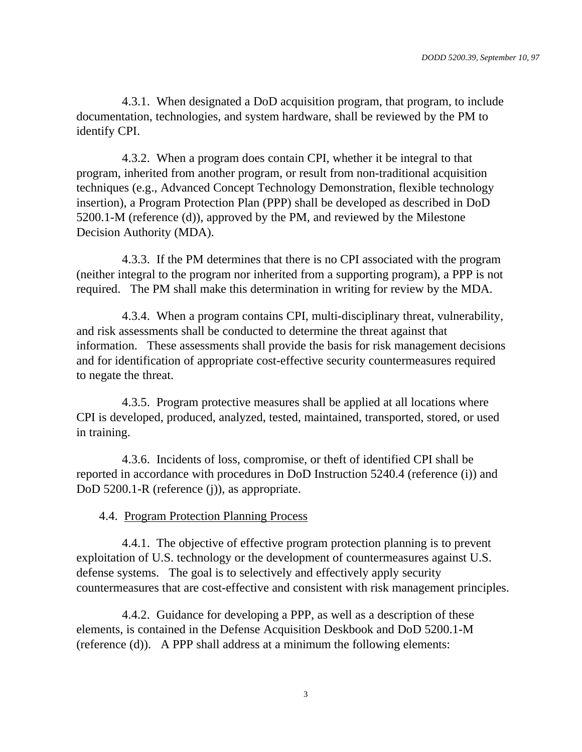4.3.1. When designated a DoD acquisition program, that program, to include documentation, technologies, and system hardware, shall be reviewed by the PM to identify CPI.

4.3.2. When a program does contain CPI, whether it be integral to that program, inherited from another program, or result from non-traditional acquisition techniques (e.g., Advanced Concept Technology Demonstration, flexible technology insertion), a Program Protection Plan (PPP) shall be developed as described in DoD 5200.1-M (reference (d)), approved by the PM, and reviewed by the Milestone Decision Authority (MDA).

4.3.3. If the PM determines that there is no CPI associated with the program (neither integral to the program nor inherited from a supporting program), a PPP is not required. The PM shall make this determination in writing for review by the MDA.

4.3.4. When a program contains CPI, multi-disciplinary threat, vulnerability, and risk assessments shall be conducted to determine the threat against that information. These assessments shall provide the basis for risk management decisions and for identification of appropriate cost-effective security countermeasures required to negate the threat.

4.3.5. Program protective measures shall be applied at all locations where CPI is developed, produced, analyzed, tested, maintained, transported, stored, or used in training.

4.3.6. Incidents of loss, compromise, or theft of identified CPI shall be reported in accordance with procedures in DoD Instruction 5240.4 (reference (i)) and DoD 5200.1-R (reference (j)), as appropriate.

#### 4.4. Program Protection Planning Process

4.4.1. The objective of effective program protection planning is to prevent exploitation of U.S. technology or the development of countermeasures against U.S. defense systems. The goal is to selectively and effectively apply security countermeasures that are cost-effective and consistent with risk management principles.

4.4.2. Guidance for developing a PPP, as well as a description of these elements, is contained in the Defense Acquisition Deskbook and DoD 5200.1-M (reference (d)). A PPP shall address at a minimum the following elements: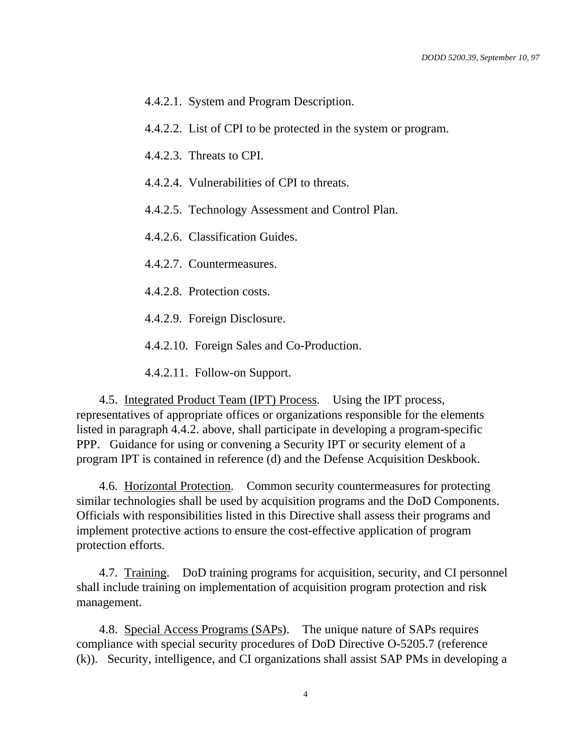- 4.4.2.1. System and Program Description.
- 4.4.2.2. List of CPI to be protected in the system or program.

4.4.2.3. Threats to CPI.

- 4.4.2.4. Vulnerabilities of CPI to threats.
- 4.4.2.5. Technology Assessment and Control Plan.

4.4.2.6. Classification Guides.

4.4.2.7. Countermeasures.

- 4.4.2.8. Protection costs.
- 4.4.2.9. Foreign Disclosure.

4.4.2.10. Foreign Sales and Co-Production.

4.4.2.11. Follow-on Support.

4.5. Integrated Product Team (IPT) Process. Using the IPT process, representatives of appropriate offices or organizations responsible for the elements listed in paragraph 4.4.2. above, shall participate in developing a program-specific PPP. Guidance for using or convening a Security IPT or security element of a program IPT is contained in reference (d) and the Defense Acquisition Deskbook.

4.6. Horizontal Protection. Common security countermeasures for protecting similar technologies shall be used by acquisition programs and the DoD Components. Officials with responsibilities listed in this Directive shall assess their programs and implement protective actions to ensure the cost-effective application of program protection efforts.

4.7. Training. DoD training programs for acquisition, security, and CI personnel shall include training on implementation of acquisition program protection and risk management.

4.8. Special Access Programs (SAPs). The unique nature of SAPs requires compliance with special security procedures of DoD Directive O-5205.7 (reference (k)). Security, intelligence, and CI organizations shall assist SAP PMs in developing a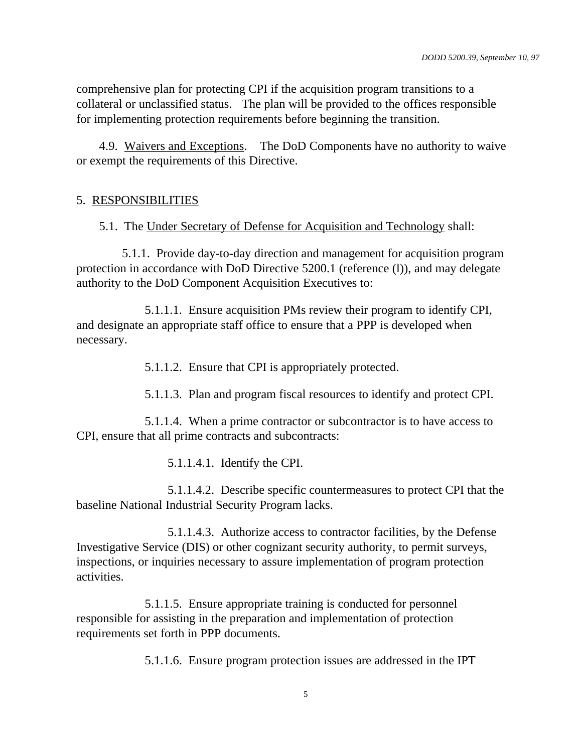comprehensive plan for protecting CPI if the acquisition program transitions to a collateral or unclassified status. The plan will be provided to the offices responsible for implementing protection requirements before beginning the transition.

4.9. Waivers and Exceptions. The DoD Components have no authority to waive or exempt the requirements of this Directive.

#### 5. RESPONSIBILITIES

5.1. The Under Secretary of Defense for Acquisition and Technology shall:

5.1.1. Provide day-to-day direction and management for acquisition program protection in accordance with DoD Directive 5200.1 (reference (l)), and may delegate authority to the DoD Component Acquisition Executives to:

5.1.1.1. Ensure acquisition PMs review their program to identify CPI, and designate an appropriate staff office to ensure that a PPP is developed when necessary.

5.1.1.2. Ensure that CPI is appropriately protected.

5.1.1.3. Plan and program fiscal resources to identify and protect CPI.

5.1.1.4. When a prime contractor or subcontractor is to have access to CPI, ensure that all prime contracts and subcontracts:

5.1.1.4.1. Identify the CPI.

5.1.1.4.2. Describe specific countermeasures to protect CPI that the baseline National Industrial Security Program lacks.

5.1.1.4.3. Authorize access to contractor facilities, by the Defense Investigative Service (DIS) or other cognizant security authority, to permit surveys, inspections, or inquiries necessary to assure implementation of program protection activities.

5.1.1.5. Ensure appropriate training is conducted for personnel responsible for assisting in the preparation and implementation of protection requirements set forth in PPP documents.

5.1.1.6. Ensure program protection issues are addressed in the IPT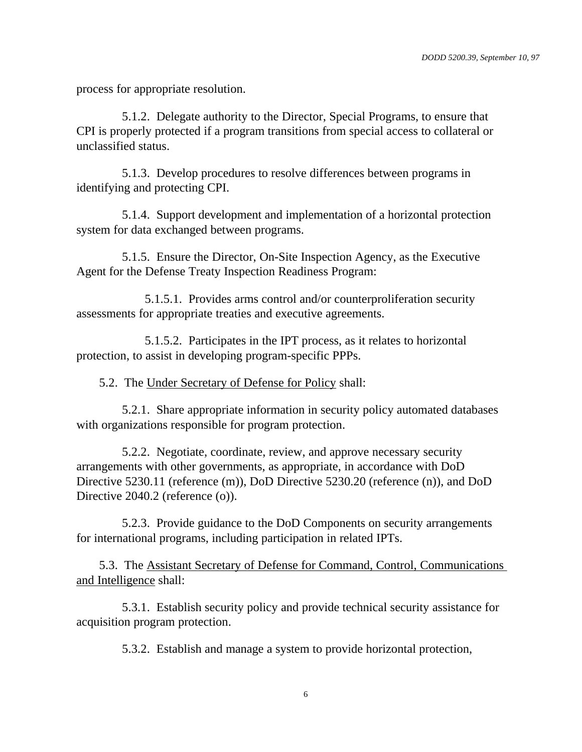process for appropriate resolution.

5.1.2. Delegate authority to the Director, Special Programs, to ensure that CPI is properly protected if a program transitions from special access to collateral or unclassified status.

5.1.3. Develop procedures to resolve differences between programs in identifying and protecting CPI.

5.1.4. Support development and implementation of a horizontal protection system for data exchanged between programs.

5.1.5. Ensure the Director, On-Site Inspection Agency, as the Executive Agent for the Defense Treaty Inspection Readiness Program:

5.1.5.1. Provides arms control and/or counterproliferation security assessments for appropriate treaties and executive agreements.

5.1.5.2. Participates in the IPT process, as it relates to horizontal protection, to assist in developing program-specific PPPs.

5.2. The Under Secretary of Defense for Policy shall:

5.2.1. Share appropriate information in security policy automated databases with organizations responsible for program protection.

5.2.2. Negotiate, coordinate, review, and approve necessary security arrangements with other governments, as appropriate, in accordance with DoD Directive 5230.11 (reference (m)), DoD Directive 5230.20 (reference (n)), and DoD Directive 2040.2 (reference (o)).

5.2.3. Provide guidance to the DoD Components on security arrangements for international programs, including participation in related IPTs.

5.3. The Assistant Secretary of Defense for Command, Control, Communications and Intelligence shall:

5.3.1. Establish security policy and provide technical security assistance for acquisition program protection.

5.3.2. Establish and manage a system to provide horizontal protection,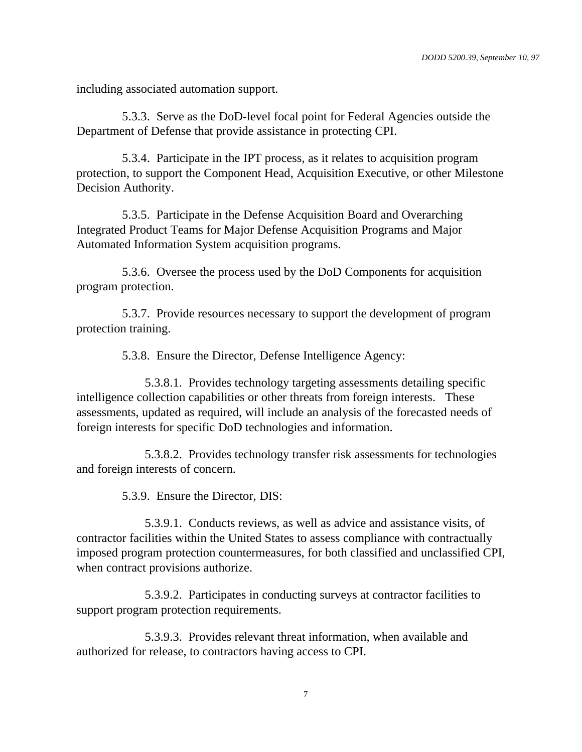including associated automation support.

5.3.3. Serve as the DoD-level focal point for Federal Agencies outside the Department of Defense that provide assistance in protecting CPI.

5.3.4. Participate in the IPT process, as it relates to acquisition program protection, to support the Component Head, Acquisition Executive, or other Milestone Decision Authority.

5.3.5. Participate in the Defense Acquisition Board and Overarching Integrated Product Teams for Major Defense Acquisition Programs and Major Automated Information System acquisition programs.

5.3.6. Oversee the process used by the DoD Components for acquisition program protection.

5.3.7. Provide resources necessary to support the development of program protection training.

5.3.8. Ensure the Director, Defense Intelligence Agency:

5.3.8.1. Provides technology targeting assessments detailing specific intelligence collection capabilities or other threats from foreign interests. These assessments, updated as required, will include an analysis of the forecasted needs of foreign interests for specific DoD technologies and information.

5.3.8.2. Provides technology transfer risk assessments for technologies and foreign interests of concern.

5.3.9. Ensure the Director, DIS:

5.3.9.1. Conducts reviews, as well as advice and assistance visits, of contractor facilities within the United States to assess compliance with contractually imposed program protection countermeasures, for both classified and unclassified CPI, when contract provisions authorize.

5.3.9.2. Participates in conducting surveys at contractor facilities to support program protection requirements.

5.3.9.3. Provides relevant threat information, when available and authorized for release, to contractors having access to CPI.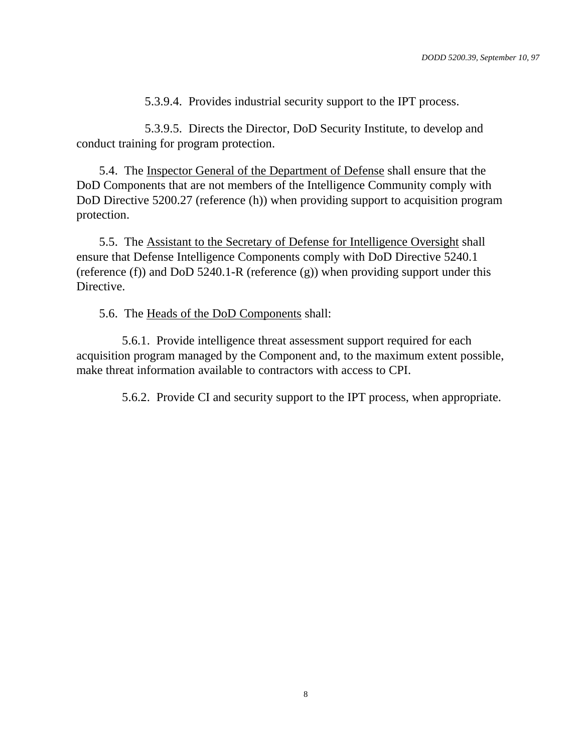5.3.9.4. Provides industrial security support to the IPT process.

5.3.9.5. Directs the Director, DoD Security Institute, to develop and conduct training for program protection.

5.4. The Inspector General of the Department of Defense shall ensure that the DoD Components that are not members of the Intelligence Community comply with DoD Directive 5200.27 (reference (h)) when providing support to acquisition program protection.

5.5. The Assistant to the Secretary of Defense for Intelligence Oversight shall ensure that Defense Intelligence Components comply with DoD Directive 5240.1 (reference (f)) and DoD 5240.1-R (reference (g)) when providing support under this Directive.

5.6. The Heads of the DoD Components shall:

5.6.1. Provide intelligence threat assessment support required for each acquisition program managed by the Component and, to the maximum extent possible, make threat information available to contractors with access to CPI.

5.6.2. Provide CI and security support to the IPT process, when appropriate.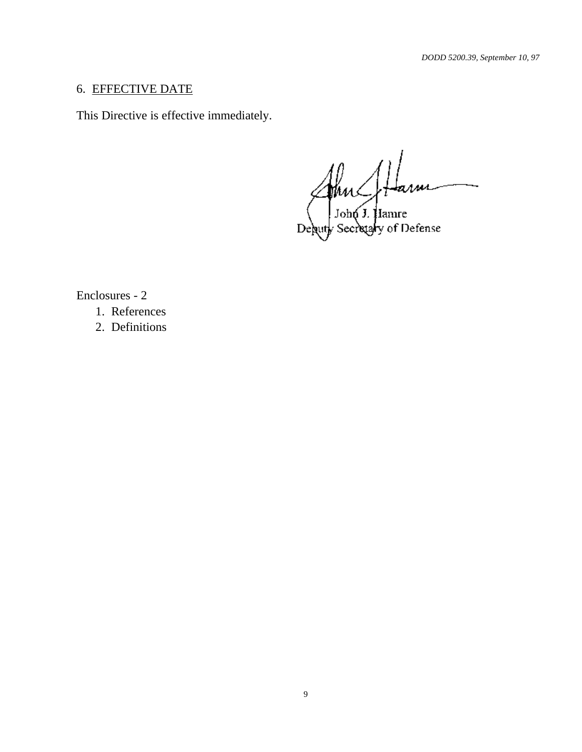## 6. EFFECTIVE DATE

This Directive is effective immediately.

 $\mathbb{W}$ 

 $\int$  John J. Hamre of Defense ebutj

Enclosures - 2

1. References

2. Definitions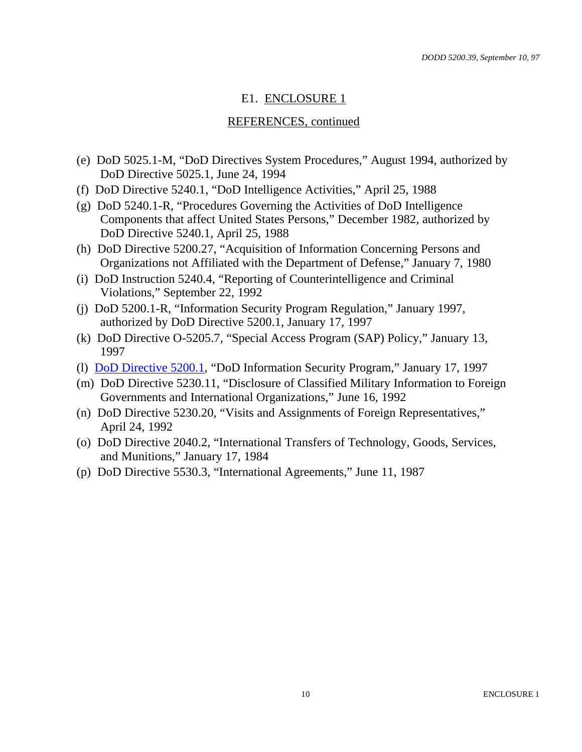## E1. ENCLOSURE 1

#### REFERENCES, continued

- (e) DoD 5025.1-M, "DoD Directives System Procedures," August 1994, authorized by DoD Directive 5025.1, June 24, 1994
- (f) DoD Directive 5240.1, "DoD Intelligence Activities," April 25, 1988
- (g) DoD 5240.1-R, "Procedures Governing the Activities of DoD Intelligence Components that affect United States Persons," December 1982, authorized by DoD Directive 5240.1, April 25, 1988
- (h) DoD Directive 5200.27, "Acquisition of Information Concerning Persons and Organizations not Affiliated with the Department of Defense," January 7, 1980
- (i) DoD Instruction 5240.4, "Reporting of Counterintelligence and Criminal Violations," September 22, 1992
- (j) DoD 5200.1-R, "Information Security Program Regulation," January 1997, authorized by DoD Directive 5200.1, January 17, 1997
- (k) DoD Directive O-5205.7, "Special Access Program (SAP) Policy," January 13, 1997
- (l) DoD Directive 5200.1, "DoD Information Security Program," January 17, 1997
- (m) DoD Directive 5230.11, "Disclosure of Classified Military Information to Foreign Governments and International Organizations," June 16, 1992
- (n) DoD Directive 5230.20, "Visits and Assignments of Foreign Representatives," April 24, 1992
- (o) DoD Directive 2040.2, "International Transfers of Technology, Goods, Services, and Munitions," January 17, 1984
- (p) DoD Directive 5530.3, "International Agreements," June 11, 1987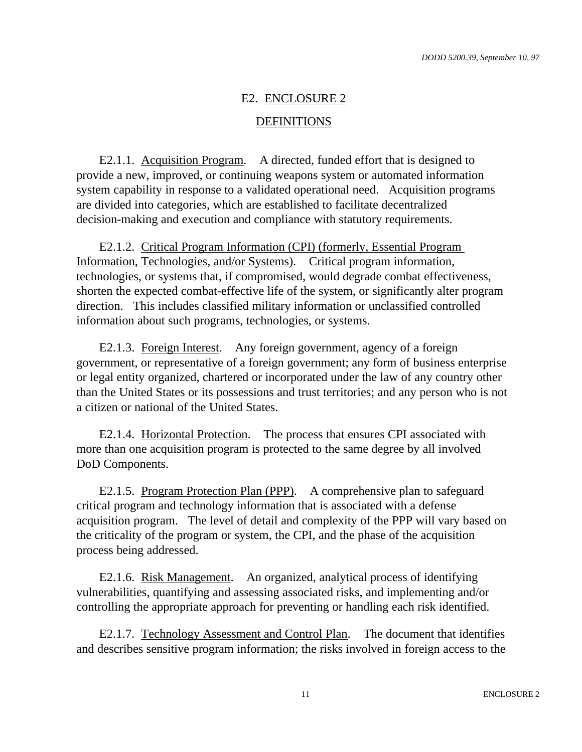# E2. ENCLOSURE 2

#### DEFINITIONS

E2.1.1. Acquisition Program. A directed, funded effort that is designed to provide a new, improved, or continuing weapons system or automated information system capability in response to a validated operational need. Acquisition programs are divided into categories, which are established to facilitate decentralized decision-making and execution and compliance with statutory requirements.

E2.1.2. Critical Program Information (CPI) (formerly, Essential Program Information, Technologies, and/or Systems). Critical program information, technologies, or systems that, if compromised, would degrade combat effectiveness, shorten the expected combat-effective life of the system, or significantly alter program direction. This includes classified military information or unclassified controlled information about such programs, technologies, or systems.

E2.1.3. Foreign Interest. Any foreign government, agency of a foreign government, or representative of a foreign government; any form of business enterprise or legal entity organized, chartered or incorporated under the law of any country other than the United States or its possessions and trust territories; and any person who is not a citizen or national of the United States.

E2.1.4. Horizontal Protection. The process that ensures CPI associated with more than one acquisition program is protected to the same degree by all involved DoD Components.

E2.1.5. Program Protection Plan (PPP). A comprehensive plan to safeguard critical program and technology information that is associated with a defense acquisition program. The level of detail and complexity of the PPP will vary based on the criticality of the program or system, the CPI, and the phase of the acquisition process being addressed.

E2.1.6. Risk Management. An organized, analytical process of identifying vulnerabilities, quantifying and assessing associated risks, and implementing and/or controlling the appropriate approach for preventing or handling each risk identified.

E2.1.7. Technology Assessment and Control Plan. The document that identifies and describes sensitive program information; the risks involved in foreign access to the